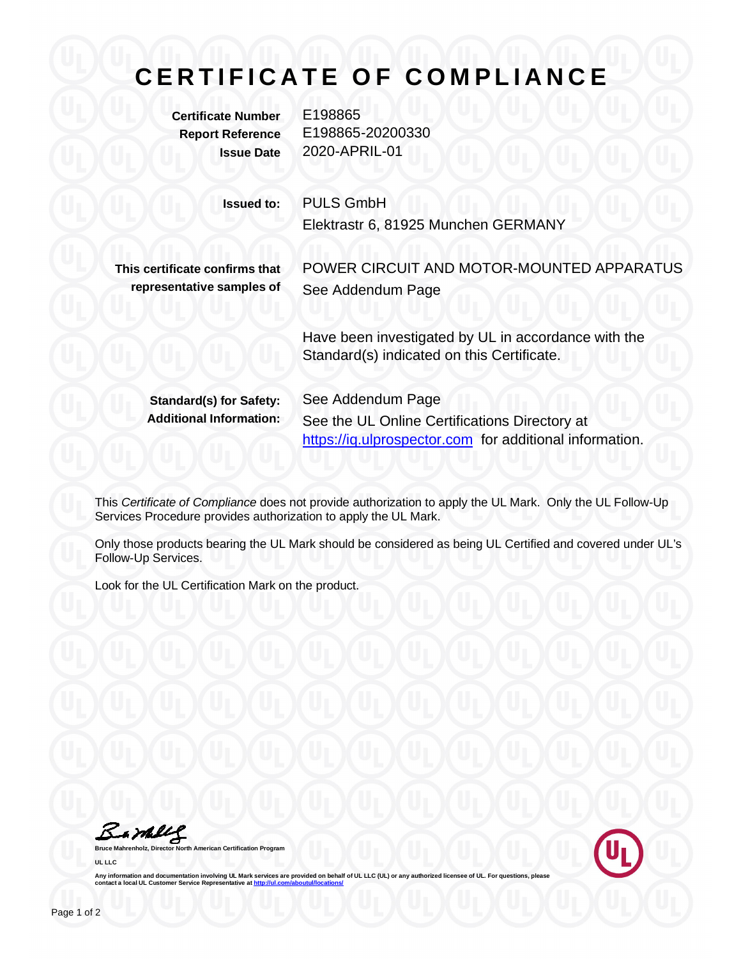## **C E R T I F I C A T E O F C O M P L I A N C E**

**Certificate Number** E198865

**Report Reference** E198865-20200330 **Issue Date** 2020-APRIL-01

**Issued to:** PULS GmbH

Elektrastr 6, 81925 Munchen GERMANY

**This certificate confirms that representative samples of** POWER CIRCUIT AND MOTOR-MOUNTED APPARATUS See Addendum Page

Have been investigated by UL in accordance with the Standard(s) indicated on this Certificate.

**Standard(s) for Safety:** See Addendum Page

**Additional Information:** See the UL Online Certifications Directory at https://iq.ulprospector.com for additional information.

This *Certificate of Compliance* does not provide authorization to apply the UL Mark. Only the UL Follow-Up Services Procedure provides authorization to apply the UL Mark.

Only those products bearing the UL Mark should be considered as being UL Certified and covered under UL's Follow-Up Services.

Look for the UL Certification Mark on the product.

Bamely

**Bruce Mahrenholz, Director North American Certification Program UL LLC**



Any information and documentation involving UL Mark services are provided on behalf of UL LLC (UL) or any authorized licensee of UL. For questions, please<br>contact a local UL Customer Service Representative at <u>http://ul.co</u>